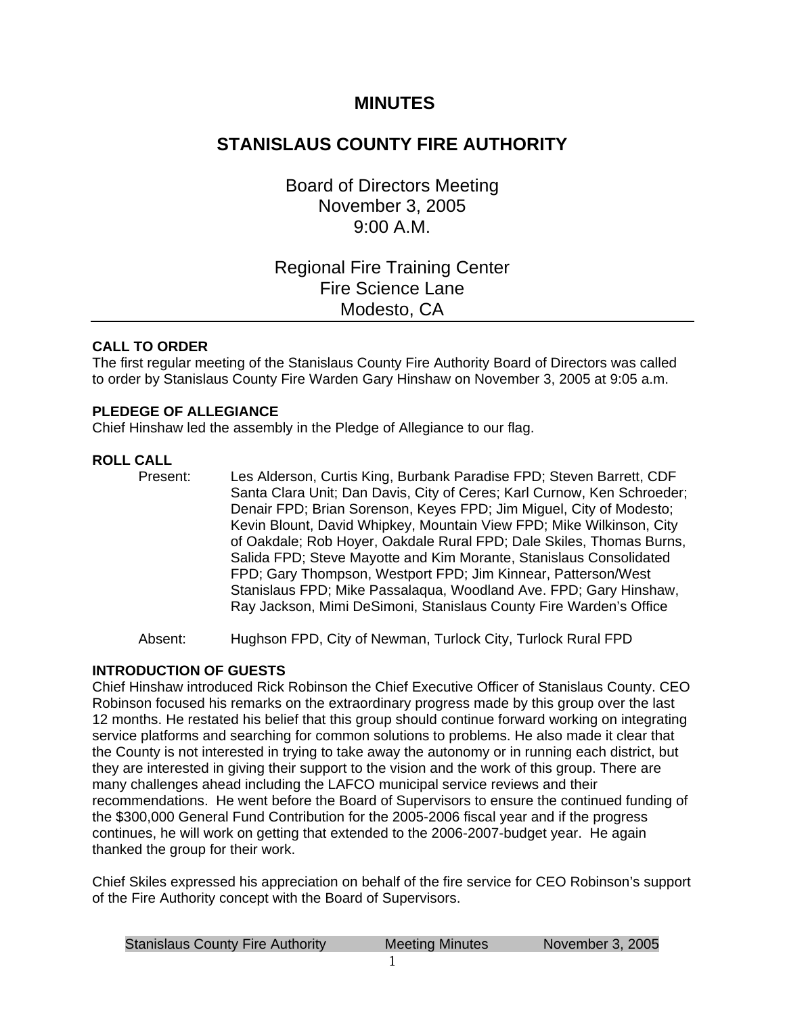# **MINUTES**

# **STANISLAUS COUNTY FIRE AUTHORITY**

Board of Directors Meeting November 3, 2005 9:00 A.M.

# Regional Fire Training Center Fire Science Lane Modesto, CA

## **CALL TO ORDER**

The first regular meeting of the Stanislaus County Fire Authority Board of Directors was called to order by Stanislaus County Fire Warden Gary Hinshaw on November 3, 2005 at 9:05 a.m.

## **PLEDEGE OF ALLEGIANCE**

Chief Hinshaw led the assembly in the Pledge of Allegiance to our flag.

## **ROLL CALL**

Present: Les Alderson, Curtis King, Burbank Paradise FPD; Steven Barrett, CDF Santa Clara Unit; Dan Davis, City of Ceres; Karl Curnow, Ken Schroeder; Denair FPD; Brian Sorenson, Keyes FPD; Jim Miguel, City of Modesto; Kevin Blount, David Whipkey, Mountain View FPD; Mike Wilkinson, City of Oakdale; Rob Hoyer, Oakdale Rural FPD; Dale Skiles, Thomas Burns, Salida FPD; Steve Mayotte and Kim Morante, Stanislaus Consolidated FPD; Gary Thompson, Westport FPD; Jim Kinnear, Patterson/West Stanislaus FPD; Mike Passalaqua, Woodland Ave. FPD; Gary Hinshaw, Ray Jackson, Mimi DeSimoni, Stanislaus County Fire Warden's Office

Absent: Hughson FPD, City of Newman, Turlock City, Turlock Rural FPD

## **INTRODUCTION OF GUESTS**

Chief Hinshaw introduced Rick Robinson the Chief Executive Officer of Stanislaus County. CEO Robinson focused his remarks on the extraordinary progress made by this group over the last 12 months. He restated his belief that this group should continue forward working on integrating service platforms and searching for common solutions to problems. He also made it clear that the County is not interested in trying to take away the autonomy or in running each district, but they are interested in giving their support to the vision and the work of this group. There are many challenges ahead including the LAFCO municipal service reviews and their recommendations. He went before the Board of Supervisors to ensure the continued funding of the \$300,000 General Fund Contribution for the 2005-2006 fiscal year and if the progress continues, he will work on getting that extended to the 2006-2007-budget year. He again thanked the group for their work.

Chief Skiles expressed his appreciation on behalf of the fire service for CEO Robinson's support of the Fire Authority concept with the Board of Supervisors.

| <b>Stanislaus County Fire Authority</b> | Meeting Minutes | November 3, 2005 |
|-----------------------------------------|-----------------|------------------|
|                                         |                 |                  |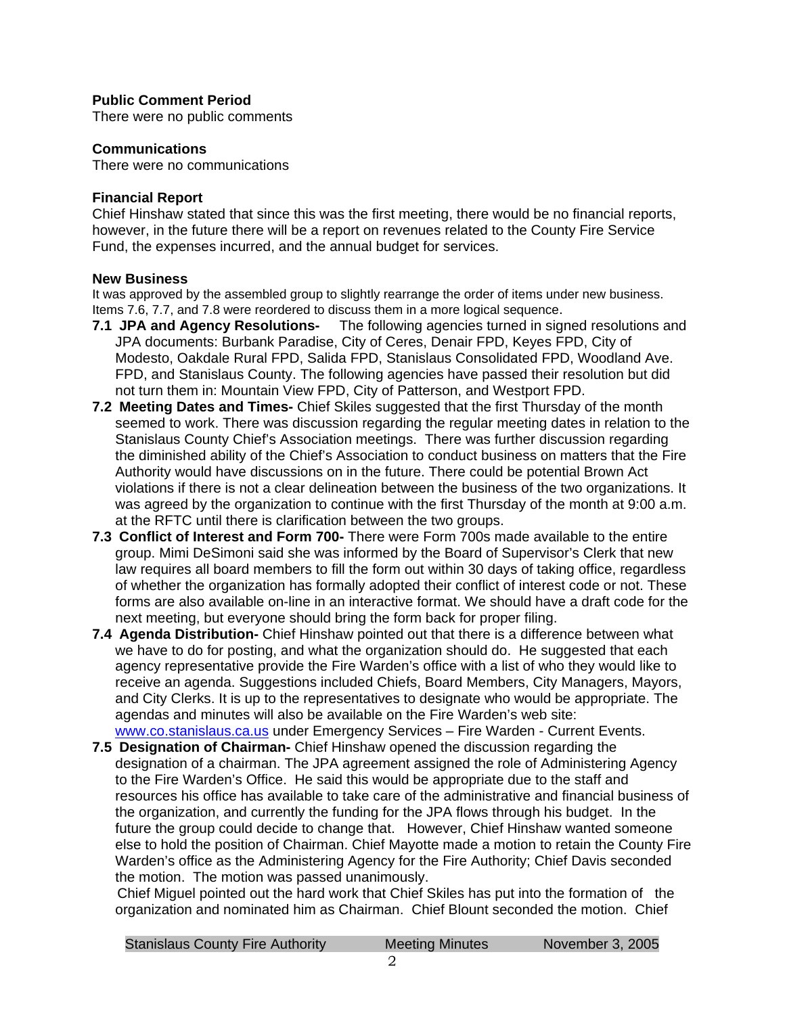## **Public Comment Period**

There were no public comments

#### **Communications**

There were no communications

#### **Financial Report**

Chief Hinshaw stated that since this was the first meeting, there would be no financial reports, however, in the future there will be a report on revenues related to the County Fire Service Fund, the expenses incurred, and the annual budget for services.

#### **New Business**

It was approved by the assembled group to slightly rearrange the order of items under new business. Items 7.6, 7.7, and 7.8 were reordered to discuss them in a more logical sequence.

- **7.1 JPA and Agency Resolutions-** The following agencies turned in signed resolutions and JPA documents: Burbank Paradise, City of Ceres, Denair FPD, Keyes FPD, City of Modesto, Oakdale Rural FPD, Salida FPD, Stanislaus Consolidated FPD, Woodland Ave. FPD, and Stanislaus County. The following agencies have passed their resolution but did not turn them in: Mountain View FPD, City of Patterson, and Westport FPD.
- **7.2 Meeting Dates and Times-** Chief Skiles suggested that the first Thursday of the month seemed to work. There was discussion regarding the regular meeting dates in relation to the Stanislaus County Chief's Association meetings. There was further discussion regarding the diminished ability of the Chief's Association to conduct business on matters that the Fire Authority would have discussions on in the future. There could be potential Brown Act violations if there is not a clear delineation between the business of the two organizations. It was agreed by the organization to continue with the first Thursday of the month at 9:00 a.m. at the RFTC until there is clarification between the two groups.
- **7.3 Conflict of Interest and Form 700-** There were Form 700s made available to the entire group. Mimi DeSimoni said she was informed by the Board of Supervisor's Clerk that new law requires all board members to fill the form out within 30 days of taking office, regardless of whether the organization has formally adopted their conflict of interest code or not. These forms are also available on-line in an interactive format. We should have a draft code for the next meeting, but everyone should bring the form back for proper filing.
- **7.4 Agenda Distribution-** Chief Hinshaw pointed out that there is a difference between what we have to do for posting, and what the organization should do. He suggested that each agency representative provide the Fire Warden's office with a list of who they would like to receive an agenda. Suggestions included Chiefs, Board Members, City Managers, Mayors, and City Clerks. It is up to the representatives to designate who would be appropriate. The agendas and minutes will also be available on the Fire Warden's web site: [www.co.stanislaus.ca.us](http://www.co.stanislaus.ca.us/) under Emergency Services – Fire Warden - Current Events.
- **7.5 Designation of Chairman-** Chief Hinshaw opened the discussion regarding the designation of a chairman. The JPA agreement assigned the role of Administering Agency to the Fire Warden's Office. He said this would be appropriate due to the staff and resources his office has available to take care of the administrative and financial business of the organization, and currently the funding for the JPA flows through his budget. In the future the group could decide to change that. However, Chief Hinshaw wanted someone else to hold the position of Chairman. Chief Mayotte made a motion to retain the County Fire Warden's office as the Administering Agency for the Fire Authority; Chief Davis seconded the motion. The motion was passed unanimously.

Chief Miguel pointed out the hard work that Chief Skiles has put into the formation of the organization and nominated him as Chairman. Chief Blount seconded the motion. Chief

| <b>Stanislaus County Fire Authority</b> | <b>Meeting Minutes</b> | November 3, 2005 |
|-----------------------------------------|------------------------|------------------|
|                                         |                        |                  |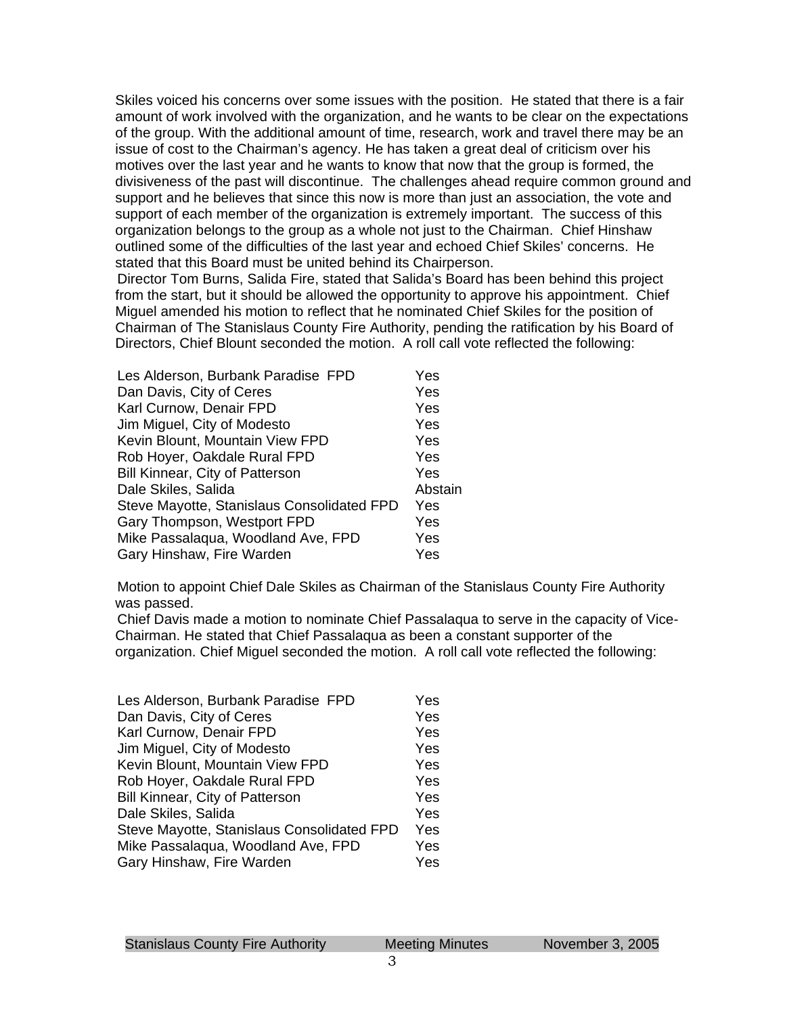Skiles voiced his concerns over some issues with the position. He stated that there is a fair amount of work involved with the organization, and he wants to be clear on the expectations of the group. With the additional amount of time, research, work and travel there may be an issue of cost to the Chairman's agency. He has taken a great deal of criticism over his motives over the last year and he wants to know that now that the group is formed, the divisiveness of the past will discontinue. The challenges ahead require common ground and support and he believes that since this now is more than just an association, the vote and support of each member of the organization is extremely important. The success of this organization belongs to the group as a whole not just to the Chairman. Chief Hinshaw outlined some of the difficulties of the last year and echoed Chief Skiles' concerns. He stated that this Board must be united behind its Chairperson.

Director Tom Burns, Salida Fire, stated that Salida's Board has been behind this project from the start, but it should be allowed the opportunity to approve his appointment. Chief Miguel amended his motion to reflect that he nominated Chief Skiles for the position of Chairman of The Stanislaus County Fire Authority, pending the ratification by his Board of Directors, Chief Blount seconded the motion. A roll call vote reflected the following:

| Les Alderson, Burbank Paradise FPD         | Yes     |
|--------------------------------------------|---------|
| Dan Davis, City of Ceres                   | Yes     |
| Karl Curnow, Denair FPD                    | Yes     |
| Jim Miguel, City of Modesto                | Yes     |
| Kevin Blount, Mountain View FPD            | Yes     |
| Rob Hoyer, Oakdale Rural FPD               | Yes     |
| Bill Kinnear, City of Patterson            | Yes     |
| Dale Skiles, Salida                        | Abstain |
| Steve Mayotte, Stanislaus Consolidated FPD | Yes     |
| Gary Thompson, Westport FPD                | Yes     |
| Mike Passalaqua, Woodland Ave, FPD         | Yes     |
| Gary Hinshaw, Fire Warden                  | Yes     |

Motion to appoint Chief Dale Skiles as Chairman of the Stanislaus County Fire Authority was passed.

Chief Davis made a motion to nominate Chief Passalaqua to serve in the capacity of Vice-Chairman. He stated that Chief Passalaqua as been a constant supporter of the organization. Chief Miguel seconded the motion. A roll call vote reflected the following:

| Les Alderson, Burbank Paradise FPD         | Yes |
|--------------------------------------------|-----|
| Dan Davis, City of Ceres                   | Yes |
| Karl Curnow, Denair FPD                    | Yes |
| Jim Miguel, City of Modesto                | Yes |
| Kevin Blount, Mountain View FPD            | Yes |
| Rob Hoyer, Oakdale Rural FPD               | Yes |
| Bill Kinnear, City of Patterson            | Yes |
| Dale Skiles, Salida                        | Yes |
| Steve Mayotte, Stanislaus Consolidated FPD | Yes |
| Mike Passalaqua, Woodland Ave, FPD         | Yes |
| Gary Hinshaw, Fire Warden                  | Yes |